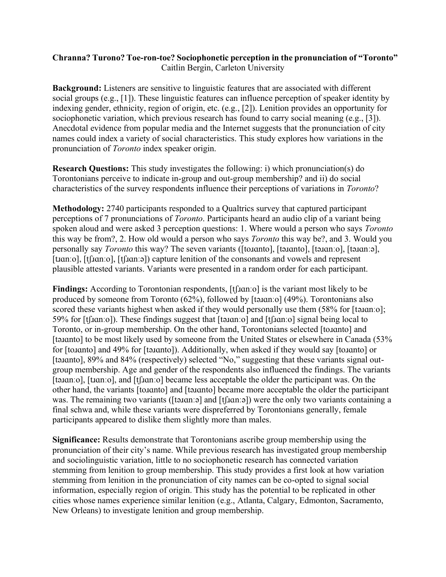## **Chranna? Turono? Toe-ron-toe? Sociophonetic perception in the pronunciation of "Toronto"** Caitlin Bergin, Carleton University

**Background:** Listeners are sensitive to linguistic features that are associated with different social groups (e.g., [1]). These linguistic features can influence perception of speaker identity by indexing gender, ethnicity, region of origin, etc. (e.g., [2]). Lenition provides an opportunity for sociophonetic variation, which previous research has found to carry social meaning (e.g., [3]). Anecdotal evidence from popular media and the Internet suggests that the pronunciation of city names could index a variety of social characteristics. This study explores how variations in the pronunciation of *Toronto* index speaker origin.

**Research Questions:** This study investigates the following: i) which pronunciation(s) do Torontonians perceive to indicate in-group and out-group membership? and ii) do social characteristics of the survey respondents influence their perceptions of variations in *Toronto*?

**Methodology:** 2740 participants responded to a Qualtrics survey that captured participant perceptions of 7 pronunciations of *Toronto*. Participants heard an audio clip of a variant being spoken aloud and were asked 3 perception questions: 1. Where would a person who says *Toronto*  this way be from?, 2. How old would a person who says *Toronto* this way be?, and 3. Would you personally say *Toronto* this way? The seven variants ([toɹɑnto], [təɹɑnto], [təɹɑnːo], [təɹɑnːə], [tian:o], [tʃian:o], [tʃian:ə]) capture lenition of the consonants and vowels and represent plausible attested variants. Variants were presented in a random order for each participant.

Findings: According to Torontonian respondents, [tʃ*xan*ːo] is the variant most likely to be produced by someone from Toronto (62%), followed by [təɹɑnːo] (49%). Torontonians also scored these variants highest when asked if they would personally use them (58% for [tananio]; 59% for [tʃɹɑnːo]). These findings suggest that [təɹɑnːo] and [tʃɹɑnːo] signal being local to Toronto, or in-group membership. On the other hand, Torontonians selected [toɹɑnto] and [tainto] to be most likely used by someone from the United States or elsewhere in Canada (53%) for [to*x*anto] and 49% for [taxanto]). Additionally, when asked if they would say [to*xanto]* or [tainto], 89% and 84% (respectively) selected "No," suggesting that these variants signal outgroup membership. Age and gender of the respondents also influenced the findings. The variants [tananio], [tranio], and [t]nanio] became less acceptable the older the participant was. On the other hand, the variants [toɹɑnto] and [təɹɑnto] became more acceptable the older the participant was. The remaining two variants ([tanan:a] and [t[nan:a]) were the only two variants containing a final schwa and, while these variants were dispreferred by Torontonians generally, female participants appeared to dislike them slightly more than males.

**Significance:** Results demonstrate that Torontonians ascribe group membership using the pronunciation of their city's name. While previous research has investigated group membership and sociolinguistic variation, little to no sociophonetic research has connected variation stemming from lenition to group membership. This study provides a first look at how variation stemming from lenition in the pronunciation of city names can be co-opted to signal social information, especially region of origin. This study has the potential to be replicated in other cities whose names experience similar lenition (e.g., Atlanta, Calgary, Edmonton, Sacramento, New Orleans) to investigate lenition and group membership.